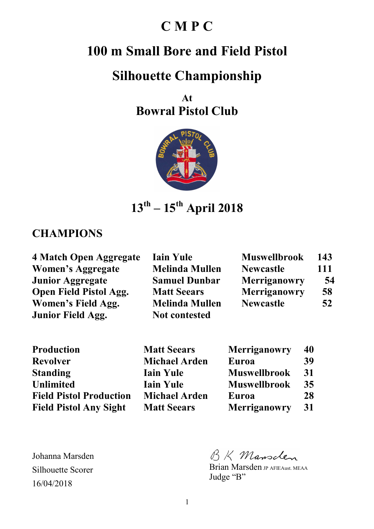## **C M P C**

# **100 m Small Bore and Field Pistol**

## **Silhouette Championship**

**At Bowral Pistol Club** 



**13th – 15th April 2018** 

#### **CHAMPIONS**

| 4 Match Open Aggregate        | <b>Iain Yule</b>      | <b>Muswellbrook</b> | 143 |
|-------------------------------|-----------------------|---------------------|-----|
| <b>Women's Aggregate</b>      | <b>Melinda Mullen</b> | <b>Newcastle</b>    | 111 |
| <b>Junior Aggregate</b>       | <b>Samuel Dunbar</b>  | Merriganowry        | 54  |
| <b>Open Field Pistol Agg.</b> | <b>Matt Seears</b>    | Merriganowry        | 58  |
| Women's Field Agg.            | <b>Melinda Mullen</b> | <b>Newcastle</b>    | 52  |
| <b>Junior Field Agg.</b>      | <b>Not contested</b>  |                     |     |

| <b>Production</b>              |
|--------------------------------|
| <b>Revolver</b>                |
| <b>Standing</b>                |
| <b>Unlimited</b>               |
| <b>Field Pistol Production</b> |
| <b>Field Pistol Any Sight</b>  |

**Matt Seears Michael Arden Iain Yule Iain Yule Michael Arden Matt Seears** 

| <b>Merriganowry</b> | 40 |
|---------------------|----|
| Euroa               | 39 |
| <b>Muswellbrook</b> | 31 |
| <b>Muswellbrook</b> | 35 |
| Euroa               | 28 |
| Merriganowry        | 31 |

BK Mansclen

Brian Marsden JP AFIEAust. MEAA Judge "B"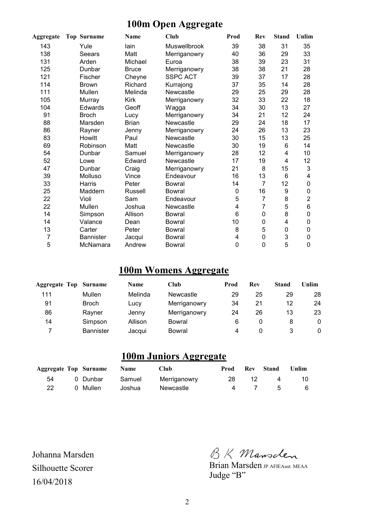#### **100m Open Aggregate**

| Aggregate      | <b>Top Surname</b> | <b>Name</b>  | <b>Club</b>     | Prod        | Rev            | <b>Stand</b> | Unlim           |
|----------------|--------------------|--------------|-----------------|-------------|----------------|--------------|-----------------|
| 143            | Yule               | lain         | Muswellbrook    | 39          | 38             | 31           | 35              |
| 138            | Seears             | Matt         | Merriganowry    | 40          | 36             | 29           | 33              |
| 131            | Arden              | Michael      | Euroa           | 38          | 39             | 23           | 31              |
| 125            | Dunbar             | <b>Bruce</b> | Merriganowry    | 38          | 38             | 21           | 28              |
| 121            | Fischer            | Cheyne       | <b>SSPC ACT</b> | 39          | 37             | 17           | 28              |
| 114            | <b>Brown</b>       | Richard      | Kurrajong       | 37          | 35             | 14           | 28              |
| 111            | Mullen             | Melinda      | Newcastle       | 29          | 25             | 29           | 28              |
| 105            | Murray             | <b>Kirk</b>  | Merriganowry    | 32          | 33             | 22           | 18              |
| 104            | <b>Edwards</b>     | Geoff        | Wagga           | 34          | 30             | 13           | 27              |
| 91             | <b>Broch</b>       | Lucy         | Merriganowry    | 34          | 21             | 12           | 24              |
| 88             | Marsden            | <b>Brian</b> | Newcastle       | 29          | 24             | 18           | 17              |
| 86             | Rayner             | Jenny        | Merriganowry    | 24          | 26             | 13           | 23              |
| 83             | Howitt             | Paul         | Newcastle       | 30          | 15             | 13           | 25              |
| 69             | Robinson           | Matt         | Newcastle       | 30          | 19             | 6            | 14              |
| 54             | Dunbar             | Samuel       | Merriganowry    | 28          | 12             | 4            | 10              |
| 52             | Lowe               | Edward       | Newcastle       | 17          | 19             | 4            | 12              |
| 47             | Dunbar             | Craig        | Merriganowry    | 21          | 8              | 15           | 3               |
| 39             | Molluso            | Vince        | Endeavour       | 16          | 13             | 6            | 4               |
| 33             | Harris             | Peter        | <b>Bowral</b>   | 14          | $\overline{7}$ | 12           | 0               |
| 25             | Maddern            | Russell      | <b>Bowral</b>   | $\mathbf 0$ | 16             | 9            | 0               |
| 22             | Violi              | Sam          | Endeavour       | 5           | $\overline{7}$ | 8            | $\overline{2}$  |
| 22             | Mullen             | Joshua       | Newcastle       | 4           | $\overline{7}$ | 5            | $6\phantom{1}6$ |
| 14             | Simpson            | Allison      | Bowral          | 6           | 0              | 8            | 0               |
| 14             | Valance            | Dean         | <b>Bowral</b>   | 10          | $\mathbf 0$    | 4            | 0               |
| 13             | Carter             | Peter        | <b>Bowral</b>   | 8           | 5              | $\mathbf 0$  | $\mathbf 0$     |
| $\overline{7}$ | <b>Bannister</b>   | Jacqui       | <b>Bowral</b>   | 4           | $\mathbf 0$    | 3            | 0               |
| 5              | McNamara           | Andrew       | <b>Bowral</b>   | $\mathbf 0$ | $\mathbf 0$    | 5            | 0               |

#### **100m Womens Aggregate**

| <b>Aggregate Top Surname</b> |                  | <b>Name</b> | Club         | Prod | Rev | <b>Stand</b> | Unlim    |
|------------------------------|------------------|-------------|--------------|------|-----|--------------|----------|
| 111                          | Mullen           | Melinda     | Newcastle    | 29   | 25  | 29           | 28       |
| 91                           | <b>Broch</b>     | Lucy        | Merriganowry | 34   | 21  | 12           | 24       |
| 86                           | Rayner           | Jenny       | Merriganowry | 24   | 26  | 13           | 23       |
| 14                           | Simpson          | Allison     | Bowral       | 6    |     |              | $\Omega$ |
| 7                            | <b>Bannister</b> | Jacqui      | Bowral       | 4    |     |              | 0        |

### **100m Juniors Aggregate**

|    | <b>Aggregate Top Surname</b> Name |        | <b>Club</b>  | Prod |     | <b>Rev</b> Stand | <b>Unlim</b> |
|----|-----------------------------------|--------|--------------|------|-----|------------------|--------------|
| 54 | 0 Dunbar                          | Samuel | Merriganowry | 28   | 12. | 4                | 10.          |
| 22 | 0 Mullen                          | Joshua | Newcastle    |      |     | 4 7 5            | - 6          |

BK Mansclen

Brian Marsden JP AFIEAust. MEAA Judge "B"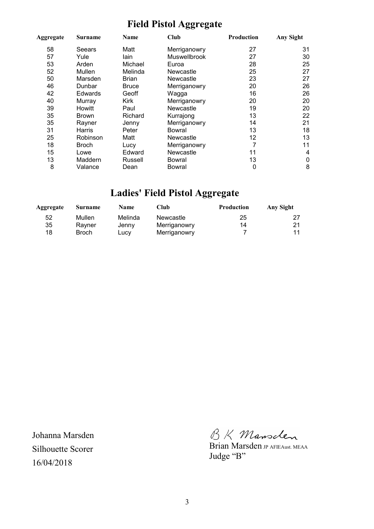## **Field Pistol Aggregate**

| Aggregate | <b>Club</b><br>Name<br>Surname |              | <b>Production</b>   | <b>Any Sight</b> |    |
|-----------|--------------------------------|--------------|---------------------|------------------|----|
| 58        | Seears                         | Matt         | Merriganowry        | 27               | 31 |
| 57        | Yule                           | lain         | <b>Muswellbrook</b> | 27               | 30 |
| 53        | Arden                          | Michael      | Euroa               | 28               | 25 |
| 52        | Mullen                         | Melinda      | Newcastle           | 25               | 27 |
| 50        | Marsden                        | Brian        | Newcastle           | 23               | 27 |
| 46        | Dunbar                         | <b>Bruce</b> | Merriganowry        | 20               | 26 |
| 42        | <b>Edwards</b>                 | Geoff        | Wagga               | 16               | 26 |
| 40        | Murray                         | <b>Kirk</b>  | Merriganowry        | 20               | 20 |
| 39        | Howitt                         | Paul         | Newcastle           | 19               | 20 |
| 35        | Brown                          | Richard      | Kurrajong           | 13               | 22 |
| 35        | Rayner                         | Jenny        | Merriganowry        | 14               | 21 |
| 31        | Harris                         | Peter        | Bowral              | 13               | 18 |
| 25        | Robinson                       | Matt         | Newcastle           | 12               | 13 |
| 18        | Broch                          | Lucy         | Merriganowry        | 7                | 11 |
| 15        | Lowe                           | Edward       | Newcastle           | 11               | 4  |
| 13        | Maddern                        | Russell      | Bowral              | 13               | 0  |
| 8         | Valance                        | Dean         | Bowral              | 0                | 8  |

## **Ladies' Field Pistol Aggregate**

| Aggregate | Surname      | <b>Name</b> | <b>Club</b>  | <b>Production</b> | Any Sight |
|-----------|--------------|-------------|--------------|-------------------|-----------|
| 52        | Mullen       | Melinda     | Newcastle    | 25                |           |
| 35        | Ravner       | Jenny       | Merriganowry | 14                | 21        |
| 18        | <b>Broch</b> | LUCV        | Merriganowry |                   | 11        |

BK Mansclen

Brian Marsden **JP** AFIEAust. MEAA Judge "B"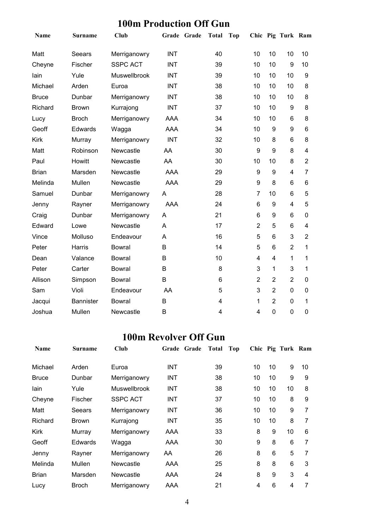### **100m Production Off Gun**

| Name         | Surname          | Club            |            | Grade Grade | <b>Total</b> | <b>Top</b> |                |                | Chic Pig Turk Ram |                |
|--------------|------------------|-----------------|------------|-------------|--------------|------------|----------------|----------------|-------------------|----------------|
| Matt         | Seears           | Merriganowry    | <b>INT</b> |             | 40           |            | 10             | 10             | 10                | 10             |
| Cheyne       | Fischer          | <b>SSPC ACT</b> | <b>INT</b> |             | 39           |            | 10             | 10             | 9                 | 10             |
| lain         | Yule             | Muswellbrook    | <b>INT</b> |             | 39           |            | 10             | 10             | 10                | 9              |
| Michael      | Arden            | Euroa           | <b>INT</b> |             | 38           |            | 10             | 10             | 10                | 8              |
| <b>Bruce</b> | Dunbar           | Merriganowry    | <b>INT</b> |             | 38           |            | 10             | 10             | 10                | 8              |
| Richard      | <b>Brown</b>     | Kurrajong       | <b>INT</b> |             | 37           |            | 10             | 10             | 9                 | 8              |
| Lucy         | <b>Broch</b>     | Merriganowry    | AAA        |             | 34           |            | 10             | 10             | 6                 | 8              |
| Geoff        | <b>Edwards</b>   | Wagga           | <b>AAA</b> |             | 34           |            | 10             | 9              | 9                 | 6              |
| <b>Kirk</b>  | Murray           | Merriganowry    | <b>INT</b> |             | 32           |            | 10             | 8              | $6\phantom{1}6$   | 8              |
| Matt         | Robinson         | Newcastle       | AA         |             | 30           |            | 9              | 9              | 8                 | $\overline{4}$ |
| Paul         | Howitt           | Newcastle       | AA         |             | 30           |            | 10             | 10             | 8                 | $\overline{2}$ |
| <b>Brian</b> | Marsden          | Newcastle       | <b>AAA</b> |             | 29           |            | 9              | 9              | $\overline{4}$    | $\overline{7}$ |
| Melinda      | Mullen           | Newcastle       | <b>AAA</b> |             | 29           |            | 9              | 8              | 6                 | 6              |
| Samuel       | Dunbar           | Merriganowry    | A          |             | 28           |            | $\overline{7}$ | 10             | $6\phantom{1}$    | 5              |
| Jenny        | Rayner           | Merriganowry    | <b>AAA</b> |             | 24           |            | 6              | 9              | $\overline{4}$    | 5              |
| Craig        | Dunbar           | Merriganowry    | A          |             | 21           |            | 6              | 9              | 6                 | 0              |
| Edward       | Lowe             | Newcastle       | A          |             | 17           |            | $\overline{2}$ | 5              | $6\phantom{1}$    | $\overline{4}$ |
| Vince        | Molluso          | Endeavour       | A          |             | 16           |            | 5              | 6              | 3                 | $\overline{2}$ |
| Peter        | Harris           | <b>Bowral</b>   | B          |             | 14           |            | 5              | 6              | $\overline{2}$    | $\mathbf{1}$   |
| Dean         | Valance          | <b>Bowral</b>   | B          |             | 10           |            | 4              | $\overline{4}$ | 1                 | $\mathbf{1}$   |
| Peter        | Carter           | <b>Bowral</b>   | B          |             | 8            |            | 3              | 1              | 3                 | $\mathbf{1}$   |
| Allison      | Simpson          | <b>Bowral</b>   | B          |             | 6            |            | $\overline{2}$ | $\overline{2}$ | $\overline{2}$    | $\mathbf 0$    |
| Sam          | Violi            | Endeavour       | AA         |             | 5            |            | 3              | $\overline{2}$ | $\mathbf 0$       | 0              |
| Jacqui       | <b>Bannister</b> | <b>Bowral</b>   | B          |             | 4            |            | 1              | $\overline{2}$ | 0                 | 1              |
| Joshua       | Mullen           | Newcastle       | B          |             | 4            |            | 4              | $\mathbf 0$    | $\overline{0}$    | $\mathbf 0$    |

### **100m Revolver Off Gun**

| <b>Name</b>  | <b>Surname</b> | Club                | Grade Grade | Total | Top |    |    | Chic Pig Turk Ram |    |
|--------------|----------------|---------------------|-------------|-------|-----|----|----|-------------------|----|
| Michael      | Arden          | Euroa               | <b>INT</b>  | 39    |     | 10 | 10 | 9                 | 10 |
| <b>Bruce</b> | Dunbar         | Merriganowry        | <b>INT</b>  | 38    |     | 10 | 10 | 9                 | 9  |
| lain         | Yule           | <b>Muswellbrook</b> | <b>INT</b>  | 38    |     | 10 | 10 | 10                | 8  |
| Cheyne       | Fischer        | <b>SSPC ACT</b>     | <b>INT</b>  | 37    |     | 10 | 10 | 8                 | 9  |
| Matt         | Seears         | Merriganowry        | <b>INT</b>  | 36    |     | 10 | 10 | 9                 | 7  |
| Richard      | <b>Brown</b>   | Kurrajong           | <b>INT</b>  | 35    |     | 10 | 10 | 8                 | 7  |
| Kirk         | Murray         | Merriganowry        | AAA         | 33    |     | 8  | 9  | 10                | 6  |
| Geoff        | Edwards        | Wagga               | AAA         | 30    |     | 9  | 8  | 6                 | 7  |
| Jenny        | Rayner         | Merriganowry        | AA          | 26    |     | 8  | 6  | 5                 | 7  |
| Melinda      | Mullen         | Newcastle           | AAA         | 25    |     | 8  | 8  | 6                 | 3  |
| <b>Brian</b> | Marsden        | Newcastle           | AAA         | 24    |     | 8  | 9  | 3                 | 4  |
| Lucy         | Broch          | Merriganowry        | AAA         | 21    |     | 4  | 6  | 4                 | 7  |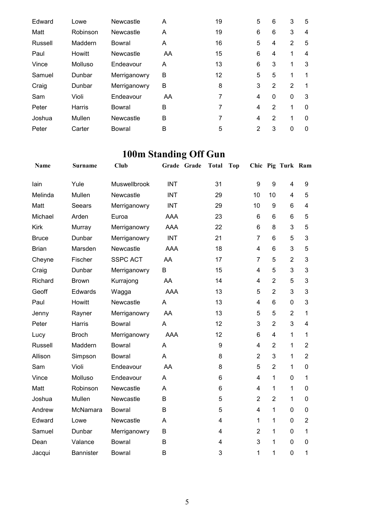| Edward  | Lowe     | Newcastle    | A  | 19 | 5              | 6            | 3            | 5 |
|---------|----------|--------------|----|----|----------------|--------------|--------------|---|
| Matt    | Robinson | Newcastle    | A  | 19 | 6              | 6            | 3            | 4 |
| Russell | Maddern  | Bowral       | A  | 16 | 5              | 4            | 2            | 5 |
| Paul    | Howitt   | Newcastle    | AA | 15 | 6              | 4            | 1            | 4 |
| Vince   | Molluso  | Endeavour    | A  | 13 | 6              | 3            | 1            | 3 |
| Samuel  | Dunbar   | Merriganowry | B  | 12 | 5              | 5            | 1            |   |
| Craig   | Dunbar   | Merriganowry | B  | 8  | 3              | 2            | 2            |   |
| Sam     | Violi    | Endeavour    | AA | 7  | 4              | $\mathbf{0}$ | $\mathbf{0}$ | 3 |
| Peter   | Harris   | Bowral       | B  | 7  | 4              | 2            |              | 0 |
| Joshua  | Mullen   | Newcastle    | B  | 7  | 4              | 2            | 1            | 0 |
| Peter   | Carter   | Bowral       | B  | 5  | $\overline{2}$ | 3            | 0            | 0 |

# **100m Standing Off Gun**

| <b>Name</b>  | <b>Surname</b>   | Club            | Grade Grade | <b>Total</b> | Top |                |                | Chic Pig Turk Ram |                |
|--------------|------------------|-----------------|-------------|--------------|-----|----------------|----------------|-------------------|----------------|
| lain         | Yule             | Muswellbrook    | <b>INT</b>  | 31           |     | 9              | 9              | 4                 | 9              |
| Melinda      | Mullen           | Newcastle       | <b>INT</b>  | 29           |     | 10             | 10             | 4                 | 5              |
| Matt         | Seears           | Merriganowry    | <b>INT</b>  | 29           |     | 10             | 9              | 6                 | $\overline{4}$ |
| Michael      | Arden            | Euroa           | <b>AAA</b>  | 23           |     | 6              | 6              | 6                 | 5              |
| Kirk         | Murray           | Merriganowry    | <b>AAA</b>  | 22           |     | 6              | 8              | 3                 | 5              |
| <b>Bruce</b> | Dunbar           | Merriganowry    | <b>INT</b>  | 21           |     | $\overline{7}$ | 6              | 5                 | 3              |
| <b>Brian</b> | Marsden          | Newcastle       | <b>AAA</b>  | 18           |     | 4              | 6              | 3                 | 5              |
| Cheyne       | Fischer          | <b>SSPC ACT</b> | AA          | 17           |     | $\overline{7}$ | 5              | $\overline{2}$    | 3              |
| Craig        | Dunbar           | Merriganowry    | B           | 15           |     | 4              | 5              | 3                 | 3              |
| Richard      | <b>Brown</b>     | Kurrajong       | AA          | 14           |     | $\overline{4}$ | $\overline{2}$ | 5                 | 3              |
| Geoff        | Edwards          | Wagga           | <b>AAA</b>  | 13           |     | 5              | $\overline{2}$ | 3                 | 3              |
| Paul         | Howitt           | Newcastle       | A           | 13           |     | 4              | 6              | 0                 | 3              |
| Jenny        | Rayner           | Merriganowry    | AA          | 13           |     | 5              | 5              | $\overline{2}$    | 1              |
| Peter        | Harris           | <b>Bowral</b>   | A           | 12           |     | 3              | $\overline{2}$ | 3                 | $\overline{4}$ |
| Lucy         | <b>Broch</b>     | Merriganowry    | AAA         | 12           |     | 6              | 4              | 1                 | 1              |
| Russell      | Maddern          | <b>Bowral</b>   | A           | 9            |     | 4              | $\overline{2}$ | $\mathbf{1}$      | $\overline{2}$ |
| Allison      | Simpson          | <b>Bowral</b>   | A           | 8            |     | $\overline{2}$ | 3              | $\mathbf{1}$      | $\overline{2}$ |
| Sam          | Violi            | Endeavour       | AA          | 8            |     | 5              | $\overline{2}$ | $\mathbf{1}$      | 0              |
| Vince        | Molluso          | Endeavour       | A           | 6            |     | 4              | 1              | 0                 | 1              |
| Matt         | Robinson         | Newcastle       | A           | 6            |     | 4              | 1              | $\mathbf{1}$      | 0              |
| Joshua       | Mullen           | Newcastle       | B           | 5            |     | $\overline{2}$ | $\overline{2}$ | 1                 | 0              |
| Andrew       | McNamara         | <b>Bowral</b>   | B           | 5            |     | 4              | 1              | 0                 | 0              |
| Edward       | Lowe             | Newcastle       | A           | 4            |     | 1              | 1              | 0                 | $\overline{2}$ |
| Samuel       | Dunbar           | Merriganowry    | B           | 4            |     | $\overline{2}$ | $\mathbf{1}$   | 0                 | 1              |
| Dean         | Valance          | Bowral          | B           | 4            |     | 3              | 1              | $\Omega$          | $\Omega$       |
| Jacqui       | <b>Bannister</b> | Bowral          | B           | 3            |     | 1              | 1              | $\overline{0}$    | 1              |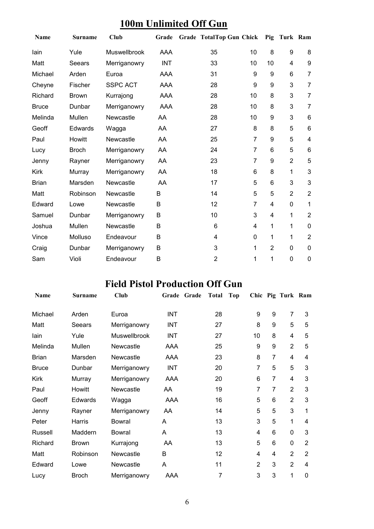### **100m Unlimited Off Gun**

| <b>Name</b>  | <b>Surname</b> | Club            | Grade      | Grade TotalTop Gun Chick |                | Pig            | Turk Ram       |                |
|--------------|----------------|-----------------|------------|--------------------------|----------------|----------------|----------------|----------------|
| lain         | Yule           | Muswellbrook    | <b>AAA</b> | 35                       | 10             | 8              | 9              | 8              |
| Matt         | Seears         | Merriganowry    | <b>INT</b> | 33                       | 10             | 10             | 4              | 9              |
| Michael      | Arden          | Euroa           | AAA        | 31                       | 9              | 9              | 6              | $\overline{7}$ |
| Cheyne       | Fischer        | <b>SSPC ACT</b> | AAA        | 28                       | 9              | 9              | 3              | $\overline{7}$ |
| Richard      | <b>Brown</b>   | Kurrajong       | AAA        | 28                       | 10             | 8              | 3              | $\overline{7}$ |
| <b>Bruce</b> | Dunbar         | Merriganowry    | AAA        | 28                       | 10             | 8              | 3              | $\overline{7}$ |
| Melinda      | Mullen         | Newcastle       | AA         | 28                       | 10             | 9              | 3              | 6              |
| Geoff        | Edwards        | Wagga           | AA         | 27                       | 8              | 8              | 5              | $6\phantom{1}$ |
| Paul         | Howitt         | Newcastle       | AA         | 25                       | 7              | 9              | 5              | 4              |
| Lucy         | <b>Broch</b>   | Merriganowry    | AA         | 24                       | $\overline{7}$ | 6              | 5              | 6              |
| Jenny        | Rayner         | Merriganowry    | AA         | 23                       | 7              | 9              | $\overline{2}$ | 5              |
| <b>Kirk</b>  | Murray         | Merriganowry    | AA         | 18                       | 6              | 8              | 1              | 3              |
| <b>Brian</b> | Marsden        | Newcastle       | AA         | 17                       | 5              | 6              | 3              | 3              |
| Matt         | Robinson       | Newcastle       | B          | 14                       | 5              | 5              | $\overline{2}$ | $\overline{2}$ |
| Edward       | Lowe           | Newcastle       | B          | 12                       | $\overline{7}$ | 4              | 0              | $\mathbf{1}$   |
| Samuel       | Dunbar         | Merriganowry    | B          | 10                       | 3              | 4              | 1              | $\overline{2}$ |
| Joshua       | Mullen         | Newcastle       | B          | 6                        | 4              | 1              | 1              | $\mathbf 0$    |
| Vince        | Molluso        | Endeavour       | B          | 4                        | 0              | 1              | 1              | $\overline{2}$ |
| Craig        | Dunbar         | Merriganowry    | B          | 3                        | 1              | $\overline{2}$ | 0              | $\mathbf 0$    |
| Sam          | Violi          | Endeavour       | B          | $\overline{2}$           | 1              | 1              | $\mathbf 0$    | $\mathbf 0$    |

## **Field Pistol Production Off Gun**

| Name         | <b>Surname</b> | Club                | Grade<br>Grade | <b>Total</b><br>Top |                |                | Chic Pig Turk Ram |                |
|--------------|----------------|---------------------|----------------|---------------------|----------------|----------------|-------------------|----------------|
| Michael      | Arden          | Euroa               | <b>INT</b>     | 28                  | 9              | 9              | $\overline{7}$    | 3              |
| Matt         | Seears         | Merriganowry        | <b>INT</b>     | 27                  | 8              | 9              | 5                 | 5              |
| lain         | Yule           | <b>Muswellbrook</b> | <b>INT</b>     | 27                  | 10             | 8              | 4                 | 5              |
| Melinda      | Mullen         | <b>Newcastle</b>    | AAA            | 25                  | 9              | 9              | $\overline{2}$    | 5              |
| <b>Brian</b> | Marsden        | <b>Newcastle</b>    | AAA            | 23                  | 8              | 7              | 4                 | 4              |
| <b>Bruce</b> | Dunbar         | Merriganowry        | <b>INT</b>     | 20                  | 7              | 5              | 5                 | 3              |
| Kirk         | Murray         | Merriganowry        | AAA            | 20                  | 6              | 7              | 4                 | 3              |
| Paul         | Howitt         | Newcastle           | AA             | 19                  | 7              | $\overline{7}$ | $\overline{2}$    | 3              |
| Geoff        | <b>Edwards</b> | Wagga               | AAA            | 16                  | 5              | 6              | $\overline{2}$    | 3              |
| Jenny        | Rayner         | Merriganowry        | AA             | 14                  | 5              | 5              | 3                 | 1              |
| Peter        | Harris         | Bowral              | A              | 13                  | 3              | 5              | 1                 | 4              |
| Russell      | Maddern        | Bowral              | A              | 13                  | 4              | 6              | 0                 | 3              |
| Richard      | <b>Brown</b>   | Kurrajong           | AA             | 13                  | 5              | 6              | 0                 | $\overline{2}$ |
| Matt         | Robinson       | Newcastle           | B              | 12                  | 4              | 4              | $\overline{2}$    | $\overline{2}$ |
| Edward       | Lowe           | Newcastle           | A              | 11                  | $\overline{2}$ | 3              | $\overline{2}$    | 4              |
| Lucy         | <b>Broch</b>   | Merriganowry        | AAA            | 7                   | 3              | 3              | 1                 | 0              |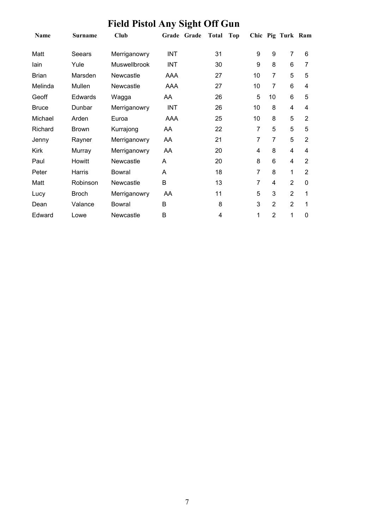# **Field Pistol Any Sight Off Gun**

| Name         | <b>Surname</b> | Club             | Grade Grade | Total | Top |    |                | Chic Pig Turk Ram |                |
|--------------|----------------|------------------|-------------|-------|-----|----|----------------|-------------------|----------------|
| Matt         | Seears         | Merriganowry     | <b>INT</b>  | 31    |     | 9  | 9              | $\overline{7}$    | 6              |
| lain         | Yule           | Muswellbrook     | <b>INT</b>  | 30    |     | 9  | 8              | 6                 | 7              |
| <b>Brian</b> | Marsden        | <b>Newcastle</b> | AAA         | 27    |     | 10 | $\overline{7}$ | 5                 | 5              |
| Melinda      | Mullen         | Newcastle        | AAA         | 27    |     | 10 | $\overline{7}$ | 6                 | 4              |
| Geoff        | <b>Edwards</b> | Wagga            | AA          | 26    |     | 5  | 10             | 6                 | 5              |
| <b>Bruce</b> | Dunbar         | Merriganowry     | <b>INT</b>  | 26    |     | 10 | 8              | 4                 | 4              |
| Michael      | Arden          | Euroa            | AAA         | 25    |     | 10 | 8              | 5                 | $\overline{2}$ |
| Richard      | <b>Brown</b>   | Kurrajong        | AA          | 22    |     | 7  | 5              | 5                 | 5              |
| Jenny        | Rayner         | Merriganowry     | AA          | 21    |     | 7  | $\overline{7}$ | 5                 | $\overline{2}$ |
| Kirk         | Murray         | Merriganowry     | AA          | 20    |     | 4  | 8              | 4                 | 4              |
| Paul         | Howitt         | Newcastle        | A           | 20    |     | 8  | 6              | 4                 | $\overline{2}$ |
| Peter        | Harris         | Bowral           | A           | 18    |     | 7  | 8              | 1                 | $\overline{2}$ |
| Matt         | Robinson       | Newcastle        | B           | 13    |     | 7  | 4              | $\overline{2}$    | 0              |
| Lucy         | <b>Broch</b>   | Merriganowry     | AA          | 11    |     | 5  | 3              | $\overline{2}$    | 1              |
| Dean         | Valance        | <b>Bowral</b>    | B           | 8     |     | 3  | $\overline{2}$ | $\overline{2}$    | 1              |
| Edward       | Lowe           | Newcastle        | В           | 4     |     | 1  | $\overline{2}$ | 1                 | 0              |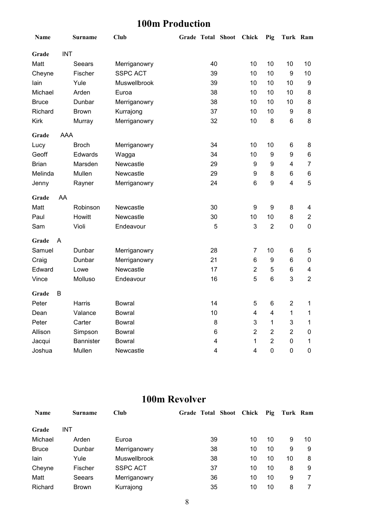### **100m Production**

| Name         |            | <b>Surname</b>   | <b>Club</b>     | <b>Grade Total Shoot</b> |    | Chick          | Pig              | Turk Ram         |                |
|--------------|------------|------------------|-----------------|--------------------------|----|----------------|------------------|------------------|----------------|
| Grade        | <b>INT</b> |                  |                 |                          |    |                |                  |                  |                |
| Matt         |            | Seears           | Merriganowry    |                          | 40 | 10             | 10               | 10               | 10             |
| Cheyne       |            | Fischer          | <b>SSPC ACT</b> |                          | 39 | 10             | 10               | 9                | 10             |
| lain         |            | Yule             | Muswellbrook    |                          | 39 | 10             | 10               | 10               | 9              |
| Michael      |            | Arden            | Euroa           |                          | 38 | 10             | 10               | 10               | 8              |
| <b>Bruce</b> |            | Dunbar           | Merriganowry    |                          | 38 | 10             | 10               | 10               | 8              |
| Richard      |            | <b>Brown</b>     | Kurrajong       |                          | 37 | 10             | 10               | 9                | 8              |
| <b>Kirk</b>  |            | Murray           | Merriganowry    |                          | 32 | 10             | 8                | $\,6$            | 8              |
| Grade        | AAA        |                  |                 |                          |    |                |                  |                  |                |
| Lucy         |            | <b>Broch</b>     | Merriganowry    |                          | 34 | 10             | 10               | 6                | 8              |
| Geoff        |            | Edwards          | Wagga           |                          | 34 | 10             | $\boldsymbol{9}$ | $\boldsymbol{9}$ | 6              |
| <b>Brian</b> |            | Marsden          | Newcastle       |                          | 29 | 9              | $\boldsymbol{9}$ | 4                | $\overline{7}$ |
| Melinda      |            | Mullen           | Newcastle       |                          | 29 | 9              | 8                | $\,6$            | 6              |
| Jenny        |            | Rayner           | Merriganowry    |                          | 24 | 6              | 9                | $\overline{4}$   | 5              |
| Grade        | AA         |                  |                 |                          |    |                |                  |                  |                |
| Matt         |            | Robinson         | Newcastle       |                          | 30 | 9              | $\boldsymbol{9}$ | 8                | 4              |
| Paul         |            | Howitt           | Newcastle       |                          | 30 | 10             | 10               | 8                | $\overline{2}$ |
| Sam          |            | Violi            | Endeavour       |                          | 5  | 3              | $\overline{2}$   | $\mathbf 0$      | $\overline{0}$ |
| Grade        | A          |                  |                 |                          |    |                |                  |                  |                |
| Samuel       |            | Dunbar           | Merriganowry    |                          | 28 | $\overline{7}$ | 10               | 6                | 5              |
| Craig        |            | Dunbar           | Merriganowry    |                          | 21 | 6              | 9                | $6\phantom{1}6$  | $\mathbf 0$    |
| Edward       |            | Lowe             | Newcastle       |                          | 17 | $\overline{2}$ | 5                | $\,6$            | $\overline{4}$ |
| Vince        |            | Molluso          | Endeavour       |                          | 16 | 5              | 6                | 3                | $\overline{2}$ |
| Grade        | В          |                  |                 |                          |    |                |                  |                  |                |
| Peter        |            | Harris           | <b>Bowral</b>   |                          | 14 | 5              | $\,6$            | $\overline{2}$   | 1              |
| Dean         |            | Valance          | Bowral          |                          | 10 | 4              | $\overline{4}$   | 1                | 1              |
| Peter        |            | Carter           | <b>Bowral</b>   |                          | 8  | 3              | $\mathbf{1}$     | 3                | $\mathbf{1}$   |
| Allison      |            | Simpson          | <b>Bowral</b>   |                          | 6  | $\overline{2}$ | $\overline{2}$   | $\overline{2}$   | 0              |
| Jacqui       |            | <b>Bannister</b> | <b>Bowral</b>   |                          | 4  | $\mathbf{1}$   | $\overline{2}$   | $\mathbf 0$      | 1              |
| Joshua       |            | Mullen           | Newcastle       |                          | 4  | 4              | $\mathbf 0$      | $\mathbf 0$      | $\mathbf 0$    |

## **100m Revolver**

| <b>Name</b>  | Surname      | Club            | Grade Total Shoot | Chick | Pig | Turk Ram |    |
|--------------|--------------|-----------------|-------------------|-------|-----|----------|----|
| Grade        | <b>INT</b>   |                 |                   |       |     |          |    |
| Michael      | Arden        | Euroa           | 39                | 10    | 10  | 9        | 10 |
| <b>Bruce</b> | Dunbar       | Merriganowry    | 38                | 10    | 10  | 9        | 9  |
| lain         | Yule         | Muswellbrook    | 38                | 10    | 10  | 10       | 8  |
| Cheyne       | Fischer      | <b>SSPC ACT</b> | 37                | 10    | 10  | 8        | 9  |
| Matt         | Seears       | Merriganowry    | 36                | 10    | 10  | 9        |    |
| Richard      | <b>Brown</b> | Kurrajong       | 35                | 10    | 10  | 8        |    |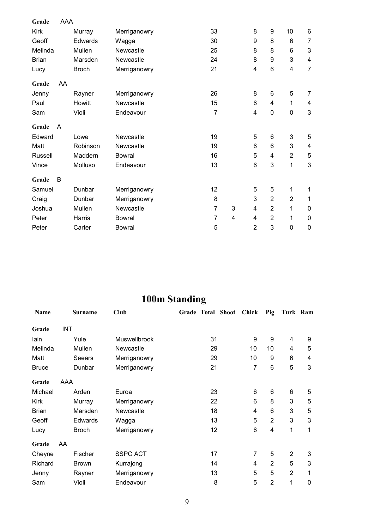| Grade        | AAA |              |               |                |   |                 |                 |                           |                           |
|--------------|-----|--------------|---------------|----------------|---|-----------------|-----------------|---------------------------|---------------------------|
| <b>Kirk</b>  |     | Murray       | Merriganowry  | 33             |   | 8               | 9               | 10                        | $\,6$                     |
| Geoff        |     | Edwards      | Wagga         | 30             |   | 9               | 8               | $6\phantom{1}6$           | $\overline{7}$            |
| Melinda      |     | Mullen       | Newcastle     | 25             |   | 8               | 8               | 6                         | $\mathbf{3}$              |
| <b>Brian</b> |     | Marsden      | Newcastle     | 24             |   | 8               | 9               | 3                         | $\overline{\mathbf{4}}$   |
| Lucy         |     | <b>Broch</b> | Merriganowry  | 21             |   | 4               | 6               | $\overline{\mathbf{4}}$   | $\overline{7}$            |
| Grade        | AA  |              |               |                |   |                 |                 |                           |                           |
| Jenny        |     | Rayner       | Merriganowry  | 26             |   | 8               | 6               | 5                         | 7                         |
| Paul         |     | Howitt       | Newcastle     | 15             |   | $6\phantom{1}6$ | 4               | 1                         | 4                         |
| Sam          |     | Violi        | Endeavour     | $\overline{7}$ |   | 4               | $\pmb{0}$       | $\boldsymbol{0}$          | $\ensuremath{\mathsf{3}}$ |
| Grade        | A   |              |               |                |   |                 |                 |                           |                           |
| Edward       |     | Lowe         | Newcastle     | 19             |   | 5               | $6\phantom{1}6$ | $\ensuremath{\mathsf{3}}$ | 5                         |
| Matt         |     | Robinson     | Newcastle     | 19             |   | 6               | 6               | 3                         | $\overline{\mathbf{4}}$   |
| Russell      |     | Maddern      | <b>Bowral</b> | 16             |   | 5               | 4               | $\overline{2}$            | 5                         |
| Vince        |     | Molluso      | Endeavour     | 13             |   | 6               | 3               | 1                         | $\mathbf{3}$              |
| Grade        | B   |              |               |                |   |                 |                 |                           |                           |
| Samuel       |     | Dunbar       | Merriganowry  | 12             |   | 5               | 5               | 1                         | 1                         |
| Craig        |     | Dunbar       | Merriganowry  | 8              |   | 3               | $\overline{2}$  | $\overline{2}$            | 1                         |
| Joshua       |     | Mullen       | Newcastle     | 7              | 3 | 4               | $\overline{2}$  | 1                         | $\mathbf 0$               |
| Peter        |     | Harris       | <b>Bowral</b> | $\overline{7}$ | 4 | 4               | $\overline{2}$  | 1                         | $\mathbf 0$               |
| Peter        |     | Carter       | <b>Bowral</b> | 5              |   | $\overline{2}$  | 3               | $\mathbf 0$               | $\mathbf 0$               |

## **100m Standing**

| Name         |            | <b>Surname</b> | Club            | Grade Total Shoot | Chick          | Pig            | Turk Ram       |             |
|--------------|------------|----------------|-----------------|-------------------|----------------|----------------|----------------|-------------|
| Grade        | <b>INT</b> |                |                 |                   |                |                |                |             |
| lain         |            | Yule           | Muswellbrook    | 31                | 9              | 9              | 4              | 9           |
| Melinda      |            | Mullen         | Newcastle       | 29                | 10             | 10             | 4              | 5           |
| Matt         |            | Seears         | Merriganowry    | 29                | 10             | 9              | 6              | 4           |
| <b>Bruce</b> |            | Dunbar         | Merriganowry    | 21                | 7              | 6              | 5              | 3           |
| Grade        | AAA        |                |                 |                   |                |                |                |             |
| Michael      |            | Arden          | Euroa           | 23                | 6              | 6              | 6              | 5           |
| <b>Kirk</b>  |            | Murray         | Merriganowry    | 22                | 6              | 8              | 3              | 5           |
| <b>Brian</b> |            | Marsden        | Newcastle       | 18                | 4              | 6              | 3              | 5           |
| Geoff        |            | <b>Edwards</b> | Wagga           | 13                | 5              | $\overline{2}$ | 3              | 3           |
| Lucy         |            | <b>Broch</b>   | Merriganowry    | 12                | 6              | 4              | 1              | 1           |
| Grade        | AA         |                |                 |                   |                |                |                |             |
| Cheyne       |            | Fischer        | <b>SSPC ACT</b> | 17                | $\overline{7}$ | 5              | $\overline{2}$ | 3           |
| Richard      |            | <b>Brown</b>   | Kurrajong       | 14                | 4              | $\overline{2}$ | 5              | 3           |
| Jenny        |            | Rayner         | Merriganowry    | 13                | 5              | 5              | $\overline{2}$ | 1           |
| Sam          |            | Violi          | Endeavour       | 8                 | 5              | $\overline{2}$ | 1              | $\mathbf 0$ |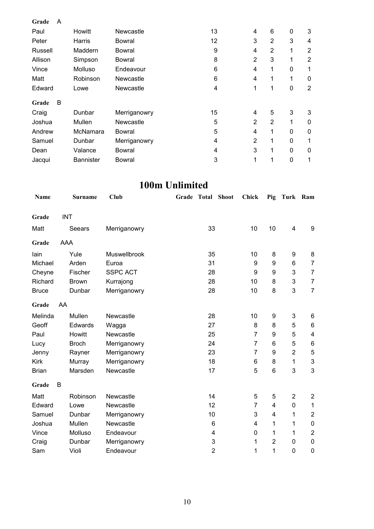| Grade   | A |                  |                  |    |                |                |              |                |
|---------|---|------------------|------------------|----|----------------|----------------|--------------|----------------|
| Paul    |   | Howitt           | Newcastle        | 13 | 4              | 6              | $\pmb{0}$    | 3              |
| Peter   |   | Harris           | Bowral           | 12 | 3              | $\overline{2}$ | 3            | 4              |
| Russell |   | Maddern          | Bowral           | 9  | 4              | 2              | 1            | 2              |
| Allison |   | Simpson          | Bowral           | 8  | $\overline{2}$ | 3              | 1            | $\overline{2}$ |
| Vince   |   | Molluso          | Endeavour        | 6  | 4              | 1              | 0            | 1              |
| Matt    |   | Robinson         | Newcastle        | 6  | 4              | 1              | 1            | 0              |
| Edward  |   | Lowe             | <b>Newcastle</b> | 4  | 1              | 1              | 0            | $\overline{2}$ |
| Grade   | В |                  |                  |    |                |                |              |                |
| Craig   |   | Dunbar           | Merriganowry     | 15 | 4              | 5              | 3            | 3              |
| Joshua  |   | Mullen           | Newcastle        | 5  | $\overline{2}$ | $\overline{2}$ | 1            | 0              |
| Andrew  |   | McNamara         | Bowral           | 5  | $\overline{4}$ | 1              | $\mathbf{0}$ | 0              |
| Samuel  |   | Dunbar           | Merriganowry     | 4  | $\overline{2}$ | 1              | 0            | 1              |
| Dean    |   | Valance          | Bowral           | 4  | 3              | 1              | $\mathbf{0}$ | 0              |
| Jacqui  |   | <b>Bannister</b> | <b>Bowral</b>    | 3  | 1              | 1              | 0            | 1              |

## **100m Unlimited**

| Name         |            | <b>Surname</b> | <b>Club</b>     | Grade Total               | <b>Shoot</b> | <b>Chick</b>   | Pig              | Turk Ram                  |                  |
|--------------|------------|----------------|-----------------|---------------------------|--------------|----------------|------------------|---------------------------|------------------|
|              |            |                |                 |                           |              |                |                  |                           |                  |
| Grade        | <b>INT</b> |                |                 |                           |              |                |                  |                           |                  |
| Matt         |            | Seears         | Merriganowry    | 33                        |              | 10             | 10               | 4                         | 9                |
| Grade        | AAA        |                |                 |                           |              |                |                  |                           |                  |
| lain         |            | Yule           | Muswellbrook    | 35                        |              | 10             | $\bf 8$          | 9                         | 8                |
| Michael      |            | Arden          | Euroa           | 31                        |              | 9              | 9                | 6                         | $\overline{7}$   |
| Cheyne       |            | Fischer        | <b>SSPC ACT</b> | 28                        |              | 9              | 9                | 3                         | $\overline{7}$   |
| Richard      |            | <b>Brown</b>   | Kurrajong       | 28                        |              | 10             | 8                | 3                         | $\overline{7}$   |
| <b>Bruce</b> |            | Dunbar         | Merriganowry    | 28                        |              | 10             | 8                | 3                         | $\overline{7}$   |
| Grade        | AA         |                |                 |                           |              |                |                  |                           |                  |
| Melinda      |            | Mullen         | Newcastle       | 28                        |              | 10             | 9                | $\ensuremath{\mathsf{3}}$ | 6                |
| Geoff        |            | Edwards        | Wagga           | 27                        |              | 8              | 8                | 5                         | 6                |
| Paul         |            | Howitt         | Newcastle       | 25                        |              | $\overline{7}$ | 9                | 5                         | 4                |
| Lucy         |            | <b>Broch</b>   | Merriganowry    | 24                        |              | 7              | 6                | 5                         | 6                |
| Jenny        |            | Rayner         | Merriganowry    | 23                        |              | $\overline{7}$ | $\boldsymbol{9}$ | $\overline{2}$            | $\mathbf 5$      |
| <b>Kirk</b>  |            | Murray         | Merriganowry    | 18                        |              | 6              | 8                | 1                         | 3                |
| <b>Brian</b> |            | Marsden        | Newcastle       | 17                        |              | 5              | $6\phantom{1}$   | 3                         | 3                |
| Grade        | В          |                |                 |                           |              |                |                  |                           |                  |
| Matt         |            | Robinson       | Newcastle       | 14                        |              | 5              | 5                | $\overline{2}$            | $\boldsymbol{2}$ |
| Edward       |            | Lowe           | Newcastle       | 12                        |              | $\overline{7}$ | 4                | $\mathbf 0$               | 1                |
| Samuel       |            | Dunbar         | Merriganowry    | 10                        |              | 3              | 4                | 1                         | $\overline{c}$   |
| Joshua       |            | Mullen         | Newcastle       | $6\phantom{1}$            |              | 4              | 1                | 1                         | $\pmb{0}$        |
| Vince        |            | Molluso        | Endeavour       | 4                         |              | $\mathbf 0$    | 1                | 1                         | $\boldsymbol{2}$ |
| Craig        |            | Dunbar         | Merriganowry    | $\ensuremath{\mathsf{3}}$ |              | 1              | $\overline{2}$   | 0                         | $\pmb{0}$        |
| Sam          |            | Violi          | Endeavour       | $\overline{2}$            |              | 1              | 1                | 0                         | $\mathbf 0$      |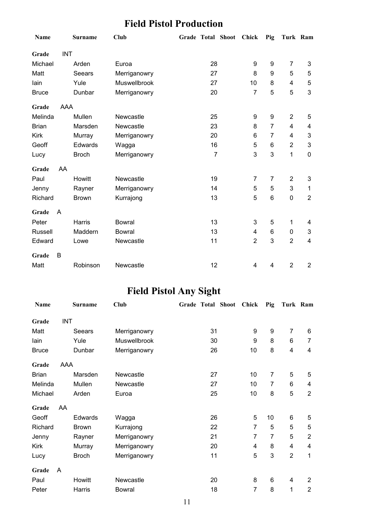## **Field Pistol Production**

| Name         |            | <b>Surname</b> | <b>Club</b>   |                | Grade Total Shoot Chick |                | Pig              | Turk Ram                  |                |
|--------------|------------|----------------|---------------|----------------|-------------------------|----------------|------------------|---------------------------|----------------|
| Grade        | <b>INT</b> |                |               |                |                         |                |                  |                           |                |
| Michael      |            | Arden          | Euroa         | 28             |                         | 9              | $\boldsymbol{9}$ | $\overline{7}$            | 3              |
| Matt         |            | <b>Seears</b>  | Merriganowry  | 27             |                         | 8              | 9                | 5                         | 5              |
| lain         |            | Yule           | Muswellbrook  | 27             |                         | 10             | 8                | $\overline{\mathbf{4}}$   | 5              |
| <b>Bruce</b> |            | Dunbar         | Merriganowry  | 20             |                         | $\overline{7}$ | 5                | 5                         | 3              |
| Grade        | <b>AAA</b> |                |               |                |                         |                |                  |                           |                |
| Melinda      |            | Mullen         | Newcastle     | 25             |                         | 9              | 9                | $\overline{2}$            | 5              |
| <b>Brian</b> |            | Marsden        | Newcastle     | 23             |                         | 8              | 7                | 4                         | 4              |
| <b>Kirk</b>  |            | Murray         | Merriganowry  | 20             |                         | 6              | $\overline{7}$   | $\overline{4}$            | 3              |
| Geoff        |            | Edwards        | Wagga         | 16             |                         | 5              | 6                | $\overline{2}$            | 3              |
| Lucy         |            | <b>Broch</b>   | Merriganowry  | $\overline{7}$ |                         | 3              | 3                | 1                         | $\mathbf 0$    |
| Grade        | AA         |                |               |                |                         |                |                  |                           |                |
| Paul         |            | Howitt         | Newcastle     | 19             |                         | 7              | $\overline{7}$   | $\overline{2}$            | 3              |
| Jenny        |            | Rayner         | Merriganowry  | 14             |                         | 5              | 5                | $\ensuremath{\mathsf{3}}$ | 1              |
| Richard      |            | <b>Brown</b>   | Kurrajong     | 13             |                         | 5              | 6                | $\mathbf 0$               | $\overline{2}$ |
| Grade        | A          |                |               |                |                         |                |                  |                           |                |
| Peter        |            | Harris         | <b>Bowral</b> | 13             |                         | 3              | 5                | 1                         | 4              |
| Russell      |            | Maddern        | <b>Bowral</b> | 13             |                         | 4              | $\,6$            | $\mathbf 0$               | 3              |
| Edward       |            | Lowe           | Newcastle     | 11             |                         | $\overline{2}$ | 3                | $\overline{2}$            | $\overline{4}$ |
| Grade        | В          |                |               |                |                         |                |                  |                           |                |
| Matt         |            | Robinson       | Newcastle     | 12             |                         | 4              | 4                | $\overline{2}$            | $\overline{2}$ |

## **Field Pistol Any Sight**

| Name         |     | <b>Surname</b> | Club          | Grade Total Shoot | <b>Chick</b>   | Pig            | Turk Ram       |                |
|--------------|-----|----------------|---------------|-------------------|----------------|----------------|----------------|----------------|
| Grade        | INT |                |               |                   |                |                |                |                |
| Matt         |     | Seears         | Merriganowry  | 31                | 9              | 9              | $\overline{7}$ | 6              |
| lain         |     | Yule           | Muswellbrook  | 30                | 9              | 8              | 6              | $\overline{7}$ |
| <b>Bruce</b> |     | Dunbar         | Merriganowry  | 26                | 10             | 8              | 4              | 4              |
| Grade        | AAA |                |               |                   |                |                |                |                |
| <b>Brian</b> |     | Marsden        | Newcastle     | 27                | 10             | $\overline{7}$ | 5              | 5              |
| Melinda      |     | Mullen         | Newcastle     | 27                | 10             | 7              | 6              | 4              |
| Michael      |     | Arden          | Euroa         | 25                | 10             | 8              | 5              | $\overline{2}$ |
| Grade        | AA  |                |               |                   |                |                |                |                |
| Geoff        |     | Edwards        | Wagga         | 26                | 5              | 10             | 6              | 5              |
| Richard      |     | <b>Brown</b>   | Kurrajong     | 22                | $\overline{7}$ | 5              | 5              | 5              |
| Jenny        |     | Rayner         | Merriganowry  | 21                | $\overline{7}$ | $\overline{7}$ | 5              | $\overline{2}$ |
| <b>Kirk</b>  |     | Murray         | Merriganowry  | 20                | 4              | 8              | 4              | 4              |
| Lucy         |     | <b>Broch</b>   | Merriganowry  | 11                | 5              | 3              | $\overline{2}$ | 1              |
| Grade        | A   |                |               |                   |                |                |                |                |
| Paul         |     | Howitt         | Newcastle     | 20                | 8              | 6              | 4              | $\overline{2}$ |
| Peter        |     | Harris         | <b>Bowral</b> | 18                | $\overline{7}$ | 8              | 1              | $\overline{2}$ |